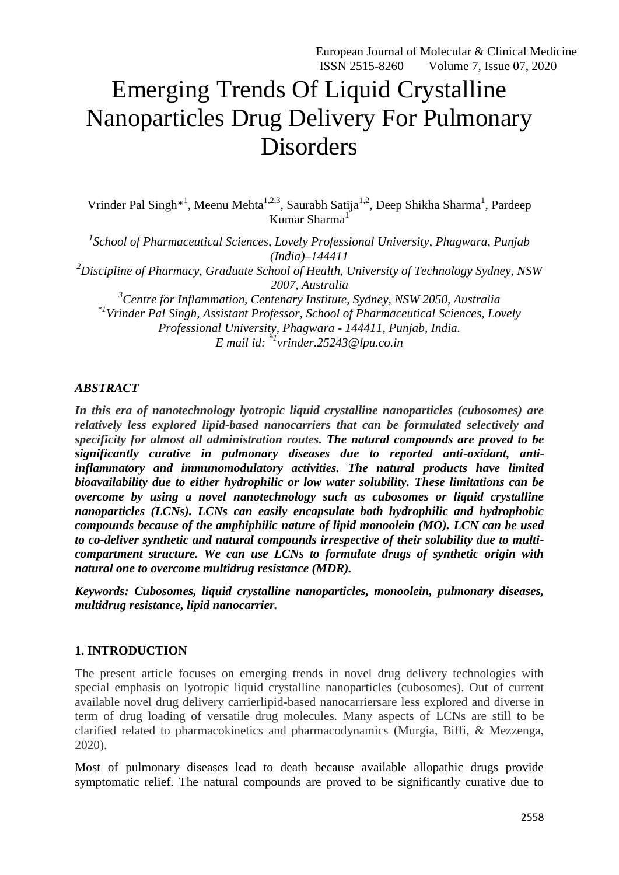# Emerging Trends Of Liquid Crystalline Nanoparticles Drug Delivery For Pulmonary **Disorders**

Vrinder Pal Singh<sup>\*1</sup>, Meenu Mehta<sup>1,2,3</sup>, Saurabh Satija<sup>1,2</sup>, Deep Shikha Sharma<sup>1</sup>, Pardeep Kumar Sharma<sup>1</sup>

*1 School of Pharmaceutical Sciences, Lovely Professional University, Phagwara, Punjab (India)–144411 <sup>2</sup>Discipline of Pharmacy, Graduate School of Health, University of Technology Sydney, NSW 2007, Australia <sup>3</sup>Centre for Inflammation, Centenary Institute, Sydney, NSW 2050, Australia \*1Vrinder Pal Singh, Assistant Professor, School of Pharmaceutical Sciences, Lovely Professional University, Phagwara - 144411, Punjab, India.*

*E mail id: \*1[vrinder.25243@lpu.co.in](mailto:vrinder.25243@lpu.co.in)*

# *ABSTRACT*

*In this era of nanotechnology lyotropic liquid crystalline nanoparticles (cubosomes) are relatively less explored lipid-based nanocarriers that can be formulated selectively and specificity for almost all administration routes. The natural compounds are proved to be significantly curative in pulmonary diseases due to reported anti-oxidant, antiinflammatory and immunomodulatory activities. The natural products have limited bioavailability due to either hydrophilic or low water solubility. These limitations can be overcome by using a novel nanotechnology such as cubosomes or liquid crystalline nanoparticles (LCNs). LCNs can easily encapsulate both hydrophilic and hydrophobic compounds because of the amphiphilic nature of lipid monoolein (MO). LCN can be used to co-deliver synthetic and natural compounds irrespective of their solubility due to multicompartment structure. We can use LCNs to formulate drugs of synthetic origin with natural one to overcome multidrug resistance (MDR).*

*Keywords: Cubosomes, liquid crystalline nanoparticles, monoolein, pulmonary diseases, multidrug resistance, lipid nanocarrier.* 

# **1. INTRODUCTION**

The present article focuses on emerging trends in novel drug delivery technologies with special emphasis on lyotropic liquid crystalline nanoparticles (cubosomes). Out of current available novel drug delivery carrierlipid-based nanocarriersare less explored and diverse in term of drug loading of versatile drug molecules. Many aspects of LCNs are still to be clarified related to pharmacokinetics and pharmacodynamics (Murgia, Biffi, & Mezzenga, 2020).

Most of pulmonary diseases lead to death because available allopathic drugs provide symptomatic relief. The natural compounds are proved to be significantly curative due to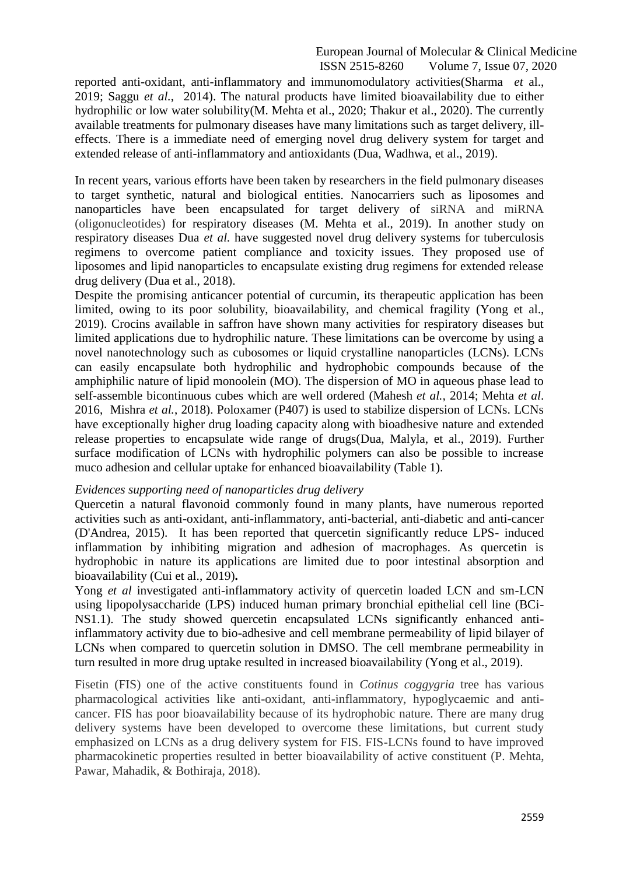reported anti-oxidant, anti-inflammatory and immunomodulatory activities(Sharma *et* al., 2019; Saggu *et al.*, 2014). The natural products have limited bioavailability due to either hydrophilic or low water solubility(M. Mehta et al., 2020; Thakur et al., 2020). The currently available treatments for pulmonary diseases have many limitations such as target delivery, illeffects. There is a immediate need of emerging novel drug delivery system for target and extended release of anti-inflammatory and antioxidants (Dua, Wadhwa, et al., 2019).

In recent years, various efforts have been taken by researchers in the field pulmonary diseases to target synthetic, natural and biological entities. Nanocarriers such as liposomes and nanoparticles have been encapsulated for target delivery of siRNA and miRNA (oligonucleotides) for respiratory diseases (M. Mehta et al., 2019). In another study on respiratory diseases Dua *et al.* have suggested novel drug delivery systems for tuberculosis regimens to overcome patient compliance and toxicity issues. They proposed use of liposomes and lipid nanoparticles to encapsulate existing drug regimens for extended release drug delivery (Dua et al., 2018).

Despite the promising anticancer potential of curcumin, its therapeutic application has been limited, owing to its poor solubility, bioavailability, and chemical fragility (Yong et al., 2019). Crocins available in saffron have shown many activities for respiratory diseases but limited applications due to hydrophilic nature. These limitations can be overcome by using a novel nanotechnology such as cubosomes or liquid crystalline nanoparticles (LCNs). LCNs can easily encapsulate both hydrophilic and hydrophobic compounds because of the amphiphilic nature of lipid monoolein (MO). The dispersion of MO in aqueous phase lead to self-assemble bicontinuous cubes which are well ordered (Mahesh *et al.,* 2014; Mehta *et al*. 2016, Mishra *et al.*, 2018). Poloxamer (P407) is used to stabilize dispersion of LCNs. LCNs have exceptionally higher drug loading capacity along with bioadhesive nature and extended release properties to encapsulate wide range of drugs(Dua, Malyla, et al., 2019). Further surface modification of LCNs with hydrophilic polymers can also be possible to increase muco adhesion and cellular uptake for enhanced bioavailability (Table 1).

# *Evidences supporting need of nanoparticles drug delivery*

Quercetin a natural flavonoid commonly found in many plants, have numerous reported activities such as anti-oxidant, anti-inflammatory, anti-bacterial, anti-diabetic and anti-cancer (D'Andrea, 2015). It has been reported that quercetin significantly reduce LPS- induced inflammation by inhibiting migration and adhesion of macrophages. As quercetin is hydrophobic in nature its applications are limited due to poor intestinal absorption and bioavailability (Cui et al., 2019)**.** 

Yong *et al* investigated anti-inflammatory activity of quercetin loaded LCN and sm-LCN using lipopolysaccharide (LPS) induced human primary bronchial epithelial cell line (BCi-NS1.1). The study showed quercetin encapsulated LCNs significantly enhanced antiinflammatory activity due to bio-adhesive and cell membrane permeability of lipid bilayer of LCNs when compared to quercetin solution in DMSO. The cell membrane permeability in turn resulted in more drug uptake resulted in increased bioavailability (Yong et al., 2019).

Fisetin (FIS) one of the active constituents found in *Cotinus coggygria* tree has various pharmacological activities like anti-oxidant, anti-inflammatory, hypoglycaemic and anticancer. FIS has poor bioavailability because of its hydrophobic nature. There are many drug delivery systems have been developed to overcome these limitations, but current study emphasized on LCNs as a drug delivery system for FIS. FIS-LCNs found to have improved pharmacokinetic properties resulted in better bioavailability of active constituent (P. Mehta, Pawar, Mahadik, & Bothiraja, 2018).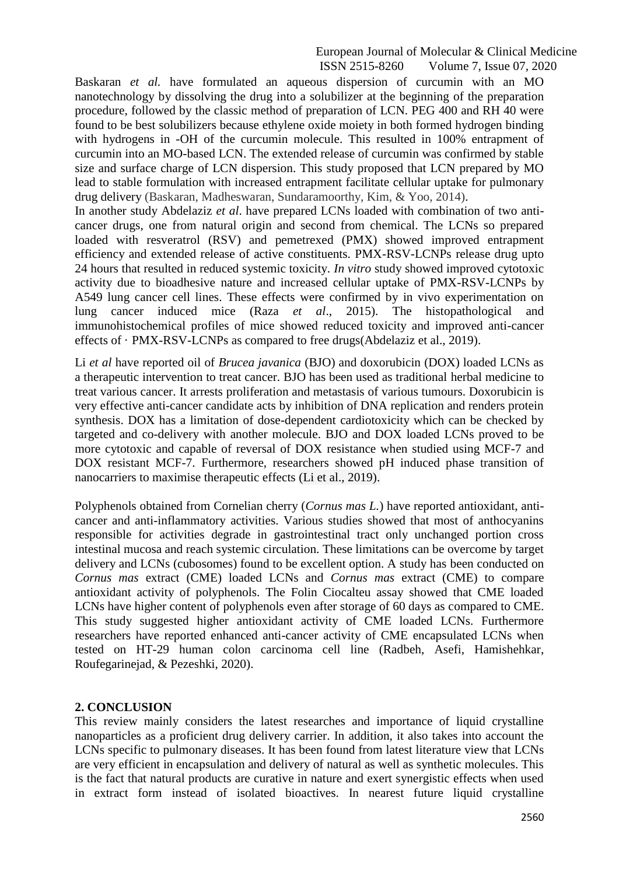Baskaran *et al.* have formulated an aqueous dispersion of curcumin with an MO nanotechnology by dissolving the drug into a solubilizer at the beginning of the preparation procedure, followed by the classic method of preparation of LCN. PEG 400 and RH 40 were found to be best solubilizers because ethylene oxide moiety in both formed hydrogen binding with hydrogens in -OH of the curcumin molecule. This resulted in 100% entrapment of curcumin into an MO-based LCN. The extended release of curcumin was confirmed by stable size and surface charge of LCN dispersion. This study proposed that LCN prepared by MO lead to stable formulation with increased entrapment facilitate cellular uptake for pulmonary drug delivery (Baskaran, Madheswaran, Sundaramoorthy, Kim, & Yoo, 2014).

In another study Abdelaziz *et al*. have prepared LCNs loaded with combination of two anticancer drugs, one from natural origin and second from chemical. The LCNs so prepared loaded with resveratrol (RSV) and pemetrexed (PMX) showed improved entrapment efficiency and extended release of active constituents. PMX-RSV-LCNPs release drug upto 24 hours that resulted in reduced systemic toxicity. *In vitro* study showed improved cytotoxic activity due to bioadhesive nature and increased cellular uptake of PMX-RSV-LCNPs by A549 lung cancer cell lines. These effects were confirmed by in vivo experimentation on lung cancer induced mice (Raza *et al*., 2015). The histopathological and immunohistochemical profiles of mice showed reduced toxicity and improved anti-cancer effects of · PMX-RSV-LCNPs as compared to free drugs(Abdelaziz et al., 2019).

Li *et al* have reported oil of *Brucea javanica* (BJO) and doxorubicin (DOX) loaded LCNs as a therapeutic intervention to treat cancer. BJO has been used as traditional herbal medicine to treat various cancer. It arrests proliferation and metastasis of various tumours. Doxorubicin is very effective anti-cancer candidate acts by inhibition of DNA replication and renders protein synthesis. DOX has a limitation of dose-dependent cardiotoxicity which can be checked by targeted and co-delivery with another molecule. BJO and DOX loaded LCNs proved to be more cytotoxic and capable of reversal of DOX resistance when studied using MCF-7 and DOX resistant MCF-7. Furthermore, researchers showed pH induced phase transition of nanocarriers to maximise therapeutic effects (Li et al., 2019).

Polyphenols obtained from Cornelian cherry (*Cornus mas L.*) have reported antioxidant, anticancer and anti-inflammatory activities. Various studies showed that most of anthocyanins responsible for activities degrade in gastrointestinal tract only unchanged portion cross intestinal mucosa and reach systemic circulation. These limitations can be overcome by target delivery and LCNs (cubosomes) found to be excellent option. A study has been conducted on *Cornus mas* extract (CME) loaded LCNs and *Cornus mas* extract (CME) to compare antioxidant activity of polyphenols. The Folin Ciocalteu assay showed that CME loaded LCNs have higher content of polyphenols even after storage of 60 days as compared to CME. This study suggested higher antioxidant activity of CME loaded LCNs. Furthermore researchers have reported enhanced anti-cancer activity of CME encapsulated LCNs when tested on HT-29 human colon carcinoma cell line (Radbeh, Asefi, Hamishehkar, Roufegarinejad, & Pezeshki, 2020).

#### **2. CONCLUSION**

This review mainly considers the latest researches and importance of liquid crystalline nanoparticles as a proficient drug delivery carrier. In addition, it also takes into account the LCNs specific to pulmonary diseases. It has been found from latest literature view that LCNs are very efficient in encapsulation and delivery of natural as well as synthetic molecules. This is the fact that natural products are curative in nature and exert synergistic effects when used in extract form instead of isolated bioactives. In nearest future liquid crystalline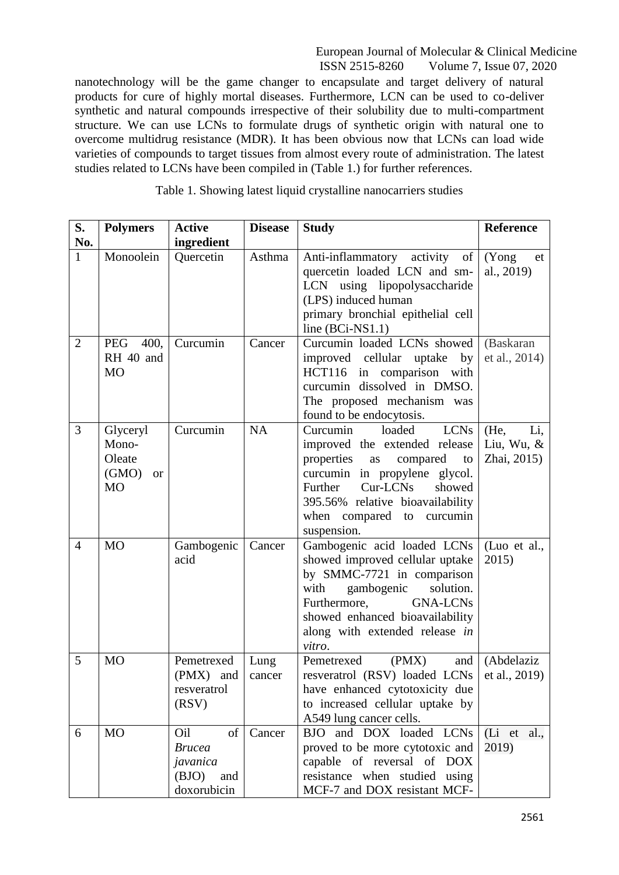nanotechnology will be the game changer to encapsulate and target delivery of natural products for cure of highly mortal diseases. Furthermore, LCN can be used to co-deliver synthetic and natural compounds irrespective of their solubility due to multi-compartment structure. We can use LCNs to formulate drugs of synthetic origin with natural one to overcome multidrug resistance (MDR). It has been obvious now that LCNs can load wide varieties of compounds to target tissues from almost every route of administration. The latest studies related to LCNs have been compiled in (Table 1.) for further references.

| S.             | <b>Polymers</b>                                                     | <b>Active</b>                                                         | <b>Disease</b> | <b>Study</b>                                                                                                                                                                                                                                               | <b>Reference</b>                         |
|----------------|---------------------------------------------------------------------|-----------------------------------------------------------------------|----------------|------------------------------------------------------------------------------------------------------------------------------------------------------------------------------------------------------------------------------------------------------------|------------------------------------------|
| No.            |                                                                     | ingredient                                                            |                |                                                                                                                                                                                                                                                            |                                          |
| $\mathbf{1}$   | Monoolein                                                           | Quercetin                                                             | Asthma         | Anti-inflammatory activity<br>of<br>quercetin loaded LCN and sm-<br>LCN using lipopolysaccharide<br>(LPS) induced human<br>primary bronchial epithelial cell<br>line $(BCi-NS1.1)$                                                                         | (Yong)<br>et<br>al., 2019)               |
| $\overline{2}$ | <b>PEG</b><br>400,<br>RH 40 and<br>M <sub>O</sub>                   | Curcumin                                                              | Cancer         | Curcumin loaded LCNs showed<br>improved cellular uptake by<br>HCT116 in comparison with<br>curcumin dissolved in DMSO.<br>The proposed mechanism was<br>found to be endocytosis.                                                                           | (Baskaran<br>et al., 2014)               |
| 3              | Glyceryl<br>Mono-<br>Oleate<br>(GMO)<br><b>or</b><br>M <sub>O</sub> | Curcumin                                                              | <b>NA</b>      | loaded<br><b>LCNs</b><br>Curcumin<br>improved the extended release<br>properties<br>compared<br>as<br>to<br>curcumin in propylene glycol.<br>Further Cur-LCNs<br>showed<br>395.56% relative bioavailability<br>when compared to<br>curcumin<br>suspension. | (He,<br>Li,<br>Liu, Wu, &<br>Zhai, 2015) |
| $\overline{4}$ | M <sub>O</sub>                                                      | Gambogenic<br>acid                                                    | Cancer         | Gambogenic acid loaded LCNs<br>showed improved cellular uptake<br>by SMMC-7721 in comparison<br>gambogenic<br>with<br>solution.<br>Furthermore,<br><b>GNA-LCNs</b><br>showed enhanced bioavailability<br>along with extended release in<br>vitro.          | (Luo et al.,<br>2015)                    |
| 5              | <b>MO</b>                                                           | Pemetrexed<br>(PMX)<br>and<br>resveratrol<br>(RSV)                    | Lung<br>cancer | Pemetrexed<br>(PMX)<br>and<br>resveratrol (RSV) loaded LCNs<br>have enhanced cytotoxicity due<br>to increased cellular uptake by<br>A549 lung cancer cells.                                                                                                | (Abdelaziz<br>et al., 2019)              |
| 6              | MO                                                                  | of<br>Oil<br><b>Brucea</b><br>javanica<br>(BJO)<br>and<br>doxorubicin | Cancer         | BJO and DOX loaded LCNs<br>proved to be more cytotoxic and<br>capable of reversal of DOX<br>resistance when studied using<br>MCF-7 and DOX resistant MCF-                                                                                                  | (Li et<br>al.,<br>2019)                  |

Table 1. Showing latest liquid crystalline nanocarriers studies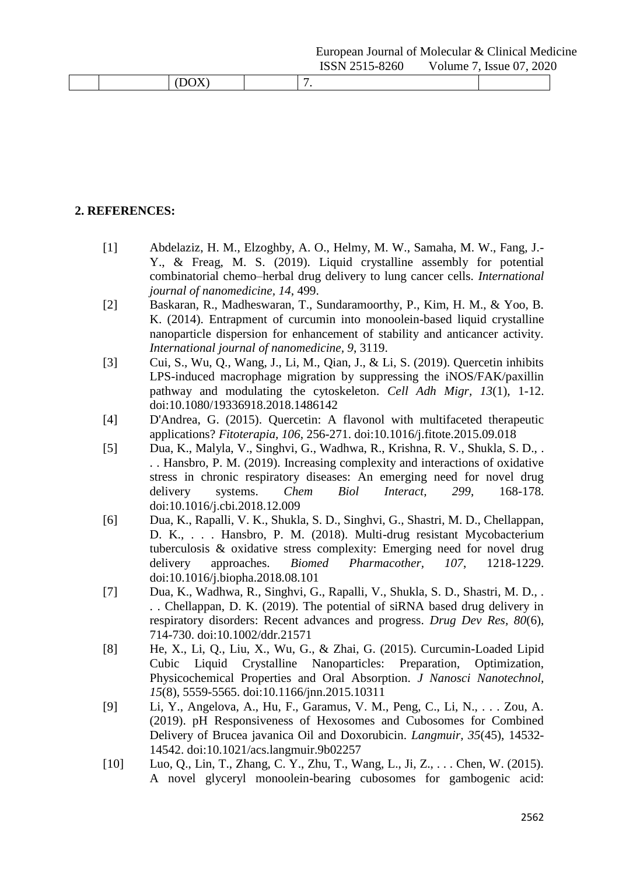| . |  |  |
|---|--|--|

# **2. REFERENCES:**

- [1] Abdelaziz, H. M., Elzoghby, A. O., Helmy, M. W., Samaha, M. W., Fang, J.- Y., & Freag, M. S. (2019). Liquid crystalline assembly for potential combinatorial chemo–herbal drug delivery to lung cancer cells. *International journal of nanomedicine, 14*, 499.
- [2] Baskaran, R., Madheswaran, T., Sundaramoorthy, P., Kim, H. M., & Yoo, B. K. (2014). Entrapment of curcumin into monoolein-based liquid crystalline nanoparticle dispersion for enhancement of stability and anticancer activity. *International journal of nanomedicine, 9*, 3119.
- [3] Cui, S., Wu, Q., Wang, J., Li, M., Qian, J., & Li, S. (2019). Quercetin inhibits LPS-induced macrophage migration by suppressing the iNOS/FAK/paxillin pathway and modulating the cytoskeleton. *Cell Adh Migr, 13*(1), 1-12. doi:10.1080/19336918.2018.1486142
- [4] D'Andrea, G. (2015). Quercetin: A flavonol with multifaceted therapeutic applications? *Fitoterapia, 106*, 256-271. doi:10.1016/j.fitote.2015.09.018
- [5] Dua, K., Malyla, V., Singhvi, G., Wadhwa, R., Krishna, R. V., Shukla, S. D., . . . Hansbro, P. M. (2019). Increasing complexity and interactions of oxidative stress in chronic respiratory diseases: An emerging need for novel drug delivery systems. *Chem Biol Interact, 299*, 168-178. doi:10.1016/j.cbi.2018.12.009
- [6] Dua, K., Rapalli, V. K., Shukla, S. D., Singhvi, G., Shastri, M. D., Chellappan, D. K., . . . Hansbro, P. M. (2018). Multi-drug resistant Mycobacterium tuberculosis & oxidative stress complexity: Emerging need for novel drug delivery approaches. *Biomed Pharmacother, 107*, 1218-1229. doi:10.1016/j.biopha.2018.08.101
- [7] Dua, K., Wadhwa, R., Singhvi, G., Rapalli, V., Shukla, S. D., Shastri, M. D., . . . Chellappan, D. K. (2019). The potential of siRNA based drug delivery in respiratory disorders: Recent advances and progress. *Drug Dev Res, 80*(6), 714-730. doi:10.1002/ddr.21571
- [8] He, X., Li, Q., Liu, X., Wu, G., & Zhai, G. (2015). Curcumin-Loaded Lipid Cubic Liquid Crystalline Nanoparticles: Preparation, Optimization, Physicochemical Properties and Oral Absorption. *J Nanosci Nanotechnol, 15*(8), 5559-5565. doi:10.1166/jnn.2015.10311
- [9] Li, Y., Angelova, A., Hu, F., Garamus, V. M., Peng, C., Li, N., . . . Zou, A. (2019). pH Responsiveness of Hexosomes and Cubosomes for Combined Delivery of Brucea javanica Oil and Doxorubicin. *Langmuir, 35*(45), 14532- 14542. doi:10.1021/acs.langmuir.9b02257
- [10] Luo, Q., Lin, T., Zhang, C. Y., Zhu, T., Wang, L., Ji, Z., . . . Chen, W. (2015). A novel glyceryl monoolein-bearing cubosomes for gambogenic acid: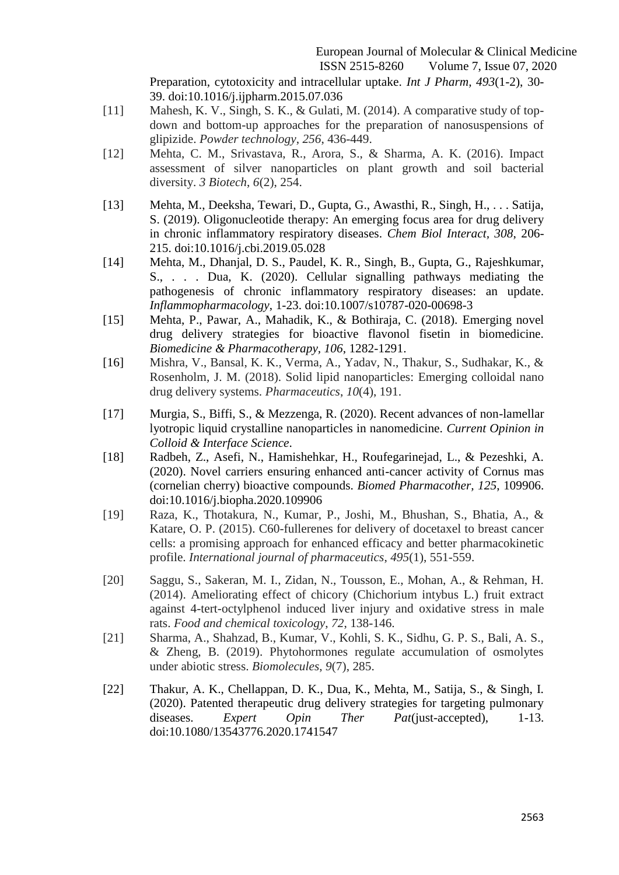Preparation, cytotoxicity and intracellular uptake. *Int J Pharm, 493*(1-2), 30- 39. doi:10.1016/j.ijpharm.2015.07.036

- [11] Mahesh, K. V., Singh, S. K., & Gulati, M. (2014). A comparative study of topdown and bottom-up approaches for the preparation of nanosuspensions of glipizide. *Powder technology*, *256*, 436-449.
- [12] Mehta, C. M., Srivastava, R., Arora, S., & Sharma, A. K. (2016). Impact assessment of silver nanoparticles on plant growth and soil bacterial diversity. *3 Biotech*, *6*(2), 254.
- [13] Mehta, M., Deeksha, Tewari, D., Gupta, G., Awasthi, R., Singh, H., . . . Satija, S. (2019). Oligonucleotide therapy: An emerging focus area for drug delivery in chronic inflammatory respiratory diseases. *Chem Biol Interact, 308*, 206- 215. doi:10.1016/j.cbi.2019.05.028
- [14] Mehta, M., Dhanjal, D. S., Paudel, K. R., Singh, B., Gupta, G., Rajeshkumar, S., . . . Dua, K. (2020). Cellular signalling pathways mediating the pathogenesis of chronic inflammatory respiratory diseases: an update. *Inflammopharmacology*, 1-23. doi:10.1007/s10787-020-00698-3
- [15] Mehta, P., Pawar, A., Mahadik, K., & Bothiraja, C. (2018). Emerging novel drug delivery strategies for bioactive flavonol fisetin in biomedicine. *Biomedicine & Pharmacotherapy, 106*, 1282-1291.
- [16] Mishra, V., Bansal, K. K., Verma, A., Yadav, N., Thakur, S., Sudhakar, K., & Rosenholm, J. M. (2018). Solid lipid nanoparticles: Emerging colloidal nano drug delivery systems. *Pharmaceutics*, *10*(4), 191.
- [17] Murgia, S., Biffi, S., & Mezzenga, R. (2020). Recent advances of non-lamellar lyotropic liquid crystalline nanoparticles in nanomedicine. *Current Opinion in Colloid & Interface Science*.
- [18] Radbeh, Z., Asefi, N., Hamishehkar, H., Roufegarinejad, L., & Pezeshki, A. (2020). Novel carriers ensuring enhanced anti-cancer activity of Cornus mas (cornelian cherry) bioactive compounds. *Biomed Pharmacother, 125*, 109906. doi:10.1016/j.biopha.2020.109906
- [19] Raza, K., Thotakura, N., Kumar, P., Joshi, M., Bhushan, S., Bhatia, A., & Katare, O. P. (2015). C60-fullerenes for delivery of docetaxel to breast cancer cells: a promising approach for enhanced efficacy and better pharmacokinetic profile. *International journal of pharmaceutics*, *495*(1), 551-559.
- [20] Saggu, S., Sakeran, M. I., Zidan, N., Tousson, E., Mohan, A., & Rehman, H. (2014). Ameliorating effect of chicory (Chichorium intybus L.) fruit extract against 4-tert-octylphenol induced liver injury and oxidative stress in male rats. *Food and chemical toxicology*, *72*, 138-146.
- [21] Sharma, A., Shahzad, B., Kumar, V., Kohli, S. K., Sidhu, G. P. S., Bali, A. S., & Zheng, B. (2019). Phytohormones regulate accumulation of osmolytes under abiotic stress. *Biomolecules*, *9*(7), 285.
- [22] Thakur, A. K., Chellappan, D. K., Dua, K., Mehta, M., Satija, S., & Singh, I. (2020). Patented therapeutic drug delivery strategies for targeting pulmonary diseases. *Expert Opin Ther Pat*(just-accepted), 1-13. doi:10.1080/13543776.2020.1741547